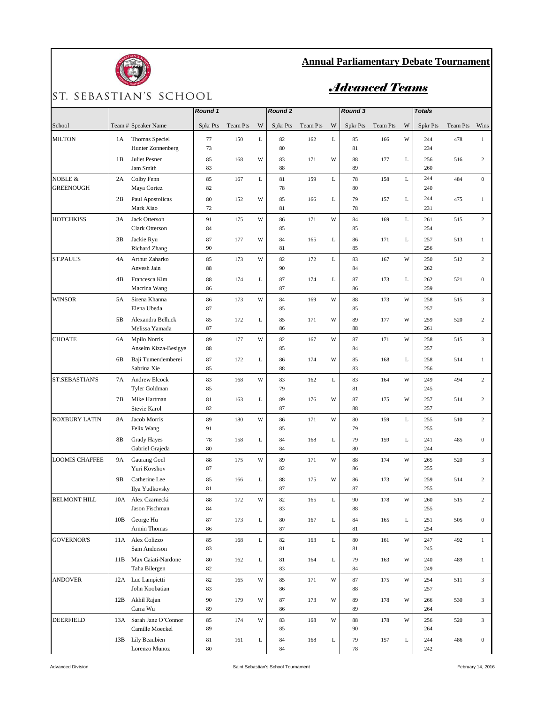

## **Annual Parliamentary Debate Tournament**

## ST. SEBASTIAN'S SCHOOL

## *Advanced Teams*

|                             |                |                                        | Round 1         |          | Round <sub>2</sub> |          |          | Round 3 |                |          | <b>Totals</b> |                 |                 |                  |
|-----------------------------|----------------|----------------------------------------|-----------------|----------|--------------------|----------|----------|---------|----------------|----------|---------------|-----------------|-----------------|------------------|
| School                      |                | Team # Speaker Name                    | <b>Spkr Pts</b> | Team Pts | W                  | Spkr Pts | Team Pts | W       | Spkr Pts       | Team Pts | W             | <b>Spkr Pts</b> | <b>Team Pts</b> | Wins             |
| <b>MILTON</b>               | 1A             | Thomas Speciel<br>Hunter Zonnenberg    | 77<br>73        | 150      | L                  | 82<br>80 | 162      | L       | 85<br>81       | 166      | W             | 244<br>234      | 478             | $\mathbf{1}$     |
|                             | 1B             | Juliet Pesner<br>Jam Smith             | 85<br>83        | 168      | W                  | 83<br>88 | 171      | W       | 88<br>89       | 177      | L             | 256<br>260      | 516             | $\overline{c}$   |
| NOBLE &<br><b>GREENOUGH</b> | 2A             | Colby Fenn<br>Maya Cortez              | 85<br>82        | 167      | L                  | 81<br>78 | 159      | L       | 78<br>80       | 158      | $\mathbf L$   | 244<br>240      | 484             | $\mathbf{0}$     |
|                             | 2B             | Paul Apostolicas<br>Mark Xiao          | 80<br>72        | 152      | W                  | 85<br>81 | 166      | L       | 79<br>78       | 157      | $\mathbf L$   | 244<br>231      | 475             | $\mathbf{1}$     |
| <b>HOTCHKISS</b>            | 3A             | Jack Otterson<br>Clark Otterson        | 91<br>84        | 175      | W                  | 86<br>85 | 171      | W       | 84<br>85       | 169      | L             | 261<br>254      | 515             | $\overline{2}$   |
|                             | 3B             | Jackie Ryu<br><b>Richard Zhang</b>     | 87<br>90        | 177      | W                  | 84<br>81 | 165      | L       | 86<br>85       | 171      | L             | 257<br>256      | 513             | $\mathbf{1}$     |
| ST.PAUL'S                   | 4A             | Arthur Zaharko<br>Anvesh Jain          | 85<br>88        | 173      | W                  | 82<br>90 | 172      | L       | 83<br>84       | 167      | W             | 250<br>262      | 512             | $\overline{2}$   |
|                             | 4B             | Francesca Kim<br>Macrina Wang          | 88<br>86        | 174      | L                  | 87<br>87 | 174      | L       | 87<br>86       | 173      | L             | 262<br>259      | 521             | $\boldsymbol{0}$ |
| <b>WINSOR</b>               | 5A             | Sirena Khanna<br>Elena Ubeda           | 86<br>87        | 173      | W                  | 84<br>85 | 169      | W       | 88<br>85       | 173      | W             | 258<br>257      | 515             | $\overline{3}$   |
|                             | 5 <sub>B</sub> | Alexandra Belluck<br>Melissa Yamada    | 85<br>87        | 172      | L                  | 85<br>86 | 171      | W       | 89<br>88       | 177      | W             | 259<br>261      | 520             | 2                |
| <b>CHOATE</b>               | 6A             | Mpilo Norris<br>Anselm Kizza-Besigye   | 89<br>88        | 177      | W                  | 82<br>85 | 167      | W       | 87<br>84       | 171      | W             | 258<br>257      | 515             | 3                |
|                             | 6B             | Baji Tumendemberei<br>Sabrina Xie      | 87<br>85        | 172      | L                  | 86<br>88 | 174      | W       | 85<br>83       | 168      | L             | 258<br>256      | 514             | $\mathbf{1}$     |
| ST.SEBASTIAN'S              | 7A             | <b>Andrew Elcock</b><br>Tyler Goldman  | 83<br>85        | 168      | W                  | 83<br>79 | 162      | L       | 83<br>81       | 164      | W             | 249<br>245      | 494             | $\overline{2}$   |
|                             | 7B             | Mike Hartman<br>Stevie Karol           | 81<br>82        | 163      | L                  | 89<br>87 | 176      | W       | 87<br>88       | 175      | W             | 257<br>257      | 514             | 2                |
| <b>ROXBURY LATIN</b>        | 8A             | Jacob Morris<br>Felix Wang             | 89<br>91        | 180      | W                  | 86<br>85 | 171      | W       | 80<br>79       | 159      | L             | 255<br>255      | 510             | $\overline{c}$   |
|                             | 8B             | <b>Grady Hayes</b><br>Gabriel Grajeda  | 78<br>80        | 158      | L                  | 84<br>84 | 168      | L       | 79<br>80       | 159      | L             | 241<br>244      | 485             | $\mathbf{0}$     |
| <b>LOOMIS CHAFFEE</b>       | 9A             | Gaurang Goel<br>Yuri Kovshov           | 88<br>87        | 175      | W                  | 89<br>82 | 171      | W       | 88<br>86       | 174      | W             | 265<br>255      | 520             | 3                |
|                             | 9B             | Catherine Lee<br>Ilya Yudkovsky        | 85<br>81        | 166      | L                  | 88<br>87 | 175      | W       | 86<br>87       | 173      | W             | 259<br>255      | 514             | 2                |
| <b>BELMONT HILL</b>         | 10A            | Alex Czarnecki<br>Jason Fischman       | 88<br>84        | 172      | W                  | 82<br>83 | 165      | L       | 90<br>88       | 178      | W             | 260<br>255      | 515             | $\,2$            |
|                             | 10B            | George Hu<br>Armin Thomas              | 87<br>86        | 173      | L                  | 80<br>87 | 167      | L       | 84<br>81       | 165      | L             | 251<br>254      | 505             | $\mathbf{0}$     |
| <b>GOVERNOR'S</b>           | 11A            | Alex Colizzo<br>Sam Anderson           | 85<br>83        | 168      | L                  | 82<br>81 | 163      | L       | $80\,$<br>81   | 161      | W             | 247<br>245      | 492             | $\mathbf{1}$     |
|                             | 11B            | Max Caiati-Nardone<br>Taha Bilergen    | 80<br>82        | 162      | L                  | 81<br>83 | 164      | L       | 79<br>$\bf 84$ | 163      | W             | 240<br>249      | 489             | $\mathbf{1}$     |
| <b>ANDOVER</b>              |                | 12A Luc Lampietti<br>John Koobatian    | 82<br>83        | 165      | W                  | 85<br>86 | 171      | W       | 87<br>88       | 175      | W             | 254<br>257      | 511             | 3                |
|                             | 12B            | Akhil Rajan<br>Carra Wu                | 90<br>89        | 179      | W                  | 87<br>86 | 173      | W       | 89<br>89       | 178      | W             | 266<br>264      | 530             | 3                |
| DEERFIELD                   | 13A            | Sarah Jane O'Connor<br>Camille Moeckel | 85<br>89        | 174      | W                  | 83<br>85 | 168      | W       | 88<br>90       | 178      | W             | 256<br>264      | 520             | $\overline{3}$   |
|                             |                | 13B Lily Beaubien<br>Lorenzo Munoz     | 81<br>80        | 161      | L                  | 84<br>84 | 168      | L       | 79<br>78       | 157      | L             | 244<br>242      | 486             | $\overline{0}$   |